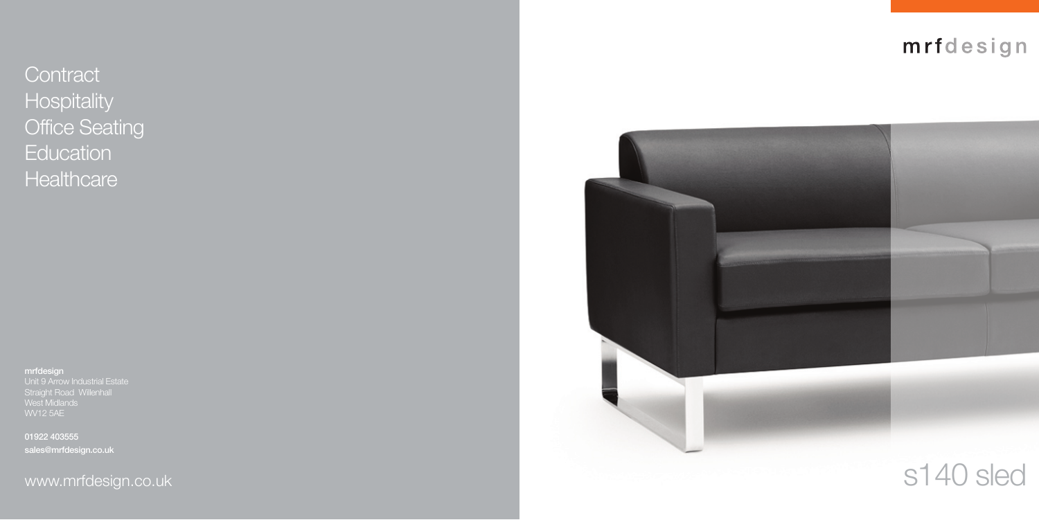**Contract Hospitality** Office Seating **Education Healthcare** 

**mrfdesign**  Straight Road Willenhall West Midlands

**01922 403555 sales@mrfdesign.co.uk**



## mrfdesign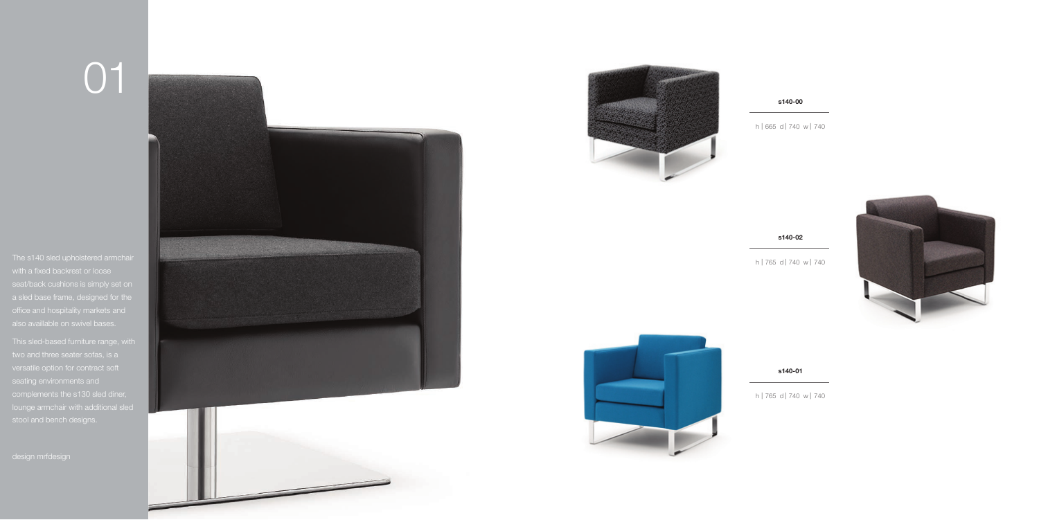# 01



h | 665 d | 740 w | 740



### **s140-00**

h | 765 d | 740 w | 740



**s140-02**

h | 765 d | 740 w | 740

### **s140-01**